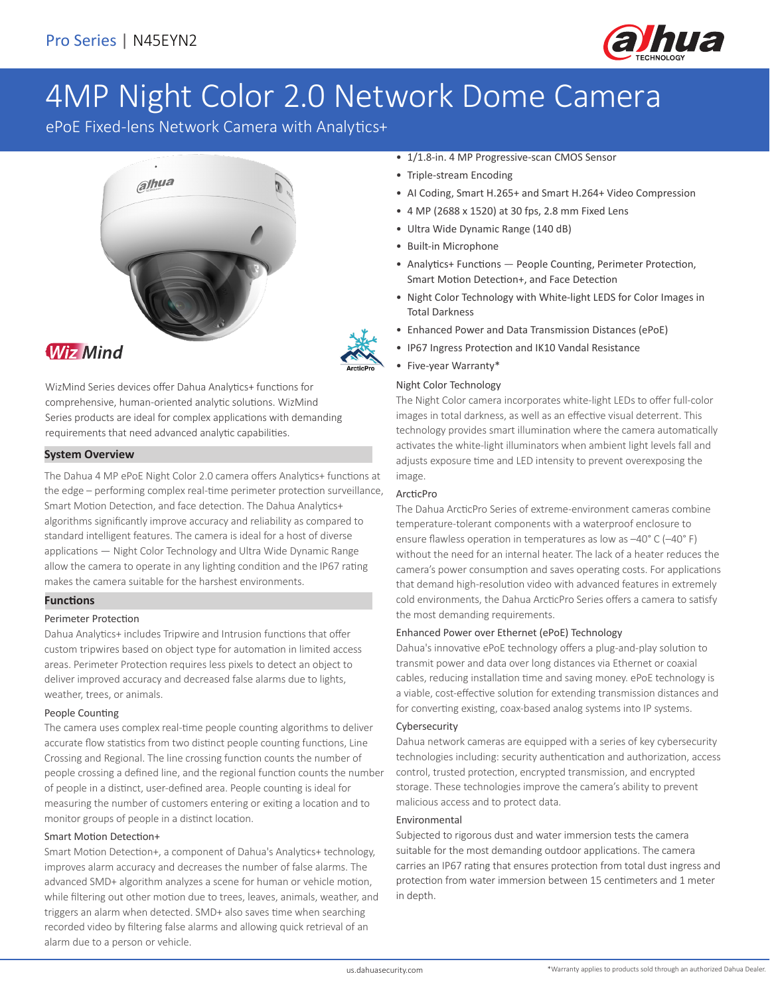

# 4MP Night Color 2.0 Network Dome Camera

ePoE Fixed-lens Network Camera with Analytics+





### **Wiz Mind**

WizMind Series devices offer Dahua Analytics+ functions for comprehensive, human-oriented analytic solutions. WizMind Series products are ideal for complex applications with demanding requirements that need advanced analytic capabilities.

### **System Overview**

The Dahua 4 MP ePoE Night Color 2.0 camera offers Analytics+ functions at the edge – performing complex real-time perimeter protection surveillance, Smart Motion Detection, and face detection. The Dahua Analytics+ algorithms significantly improve accuracy and reliability as compared to standard intelligent features. The camera is ideal for a host of diverse applications — Night Color Technology and Ultra Wide Dynamic Range allow the camera to operate in any lighting condition and the IP67 rating makes the camera suitable for the harshest environments.

### **Functions**

### Perimeter Protection

Dahua Analytics+ includes Tripwire and Intrusion functions that offer custom tripwires based on object type for automation in limited access areas. Perimeter Protection requires less pixels to detect an object to deliver improved accuracy and decreased false alarms due to lights, weather, trees, or animals.

### People Counting

The camera uses complex real-time people counting algorithms to deliver accurate flow statistics from two distinct people counting functions, Line Crossing and Regional. The line crossing function counts the number of people crossing a defined line, and the regional function counts the number of people in a distinct, user-defined area. People counting is ideal for measuring the number of customers entering or exiting a location and to monitor groups of people in a distinct location.

### Smart Motion Detection+

Smart Motion Detection+, a component of Dahua's Analytics+ technology, improves alarm accuracy and decreases the number of false alarms. The advanced SMD+ algorithm analyzes a scene for human or vehicle motion, while filtering out other motion due to trees, leaves, animals, weather, and triggers an alarm when detected. SMD+ also saves time when searching recorded video by filtering false alarms and allowing quick retrieval of an alarm due to a person or vehicle.

- 1/1.8-in. 4 MP Progressive-scan CMOS Sensor
- Triple-stream Encoding
- AI Coding, Smart H.265+ and Smart H.264+ Video Compression
- 4 MP (2688 x 1520) at 30 fps, 2.8 mm Fixed Lens
- Ultra Wide Dynamic Range (140 dB)
- Built-in Microphone
- Analytics+ Functions People Counting, Perimeter Protection, Smart Motion Detection+, and Face Detection
- Night Color Technology with White-light LEDS for Color Images in Total Darkness
- Enhanced Power and Data Transmission Distances (ePoE)
- IP67 Ingress Protection and IK10 Vandal Resistance
- Five-year Warranty\*

### Night Color Technology

The Night Color camera incorporates white-light LEDs to offer full-color images in total darkness, as well as an effective visual deterrent. This technology provides smart illumination where the camera automatically activates the white-light illuminators when ambient light levels fall and adjusts exposure time and LED intensity to prevent overexposing the image.

### ArcticPro

The Dahua ArcticPro Series of extreme-environment cameras combine temperature-tolerant components with a waterproof enclosure to ensure flawless operation in temperatures as low as –40° C (–40° F) without the need for an internal heater. The lack of a heater reduces the camera's power consumption and saves operating costs. For applications that demand high-resolution video with advanced features in extremely cold environments, the Dahua ArcticPro Series offers a camera to satisfy the most demanding requirements.

### Enhanced Power over Ethernet (ePoE) Technology

Dahua's innovative ePoE technology offers a plug-and-play solution to transmit power and data over long distances via Ethernet or coaxial cables, reducing installation time and saving money. ePoE technology is a viable, cost-effective solution for extending transmission distances and for converting existing, coax-based analog systems into IP systems.

### Cybersecurity

Dahua network cameras are equipped with a series of key cybersecurity technologies including: security authentication and authorization, access control, trusted protection, encrypted transmission, and encrypted storage. These technologies improve the camera's ability to prevent malicious access and to protect data.

### Environmental

Subjected to rigorous dust and water immersion tests the camera suitable for the most demanding outdoor applications. The camera carries an IP67 rating that ensures protection from total dust ingress and protection from water immersion between 15 centimeters and 1 meter in depth.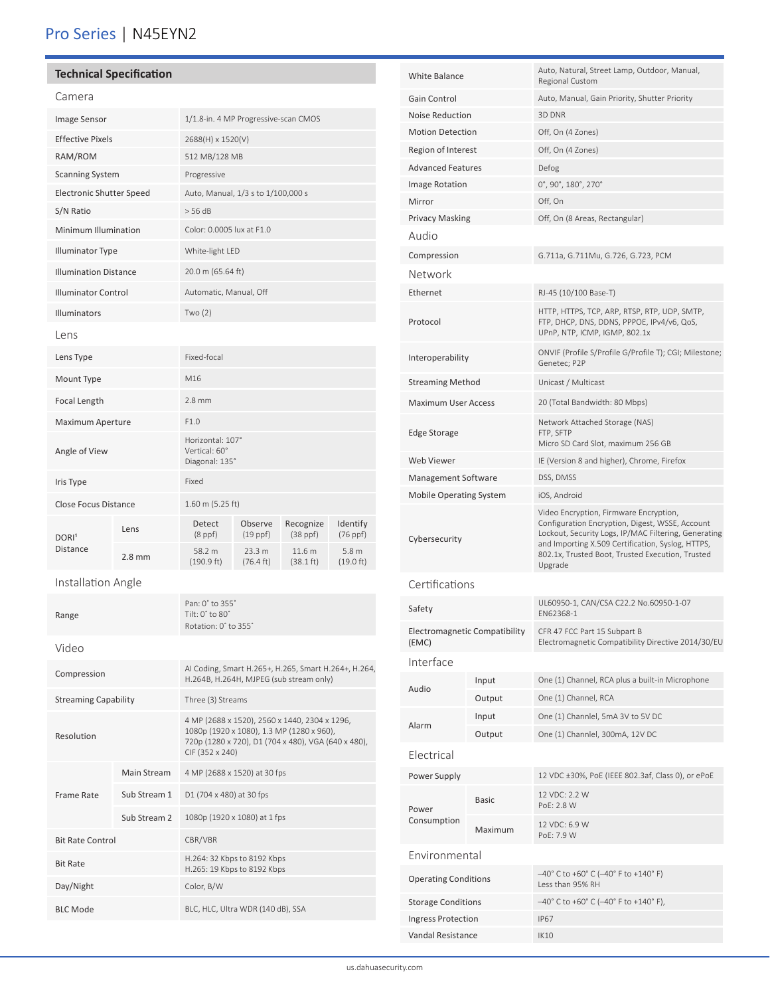## Pro Series | N45EYN2

### **Technical Specification**

| m | ے . |  |
|---|-----|--|

| Camera                          |              |                                                                                                                                                                      |                               |                                          |                                         |  |
|---------------------------------|--------------|----------------------------------------------------------------------------------------------------------------------------------------------------------------------|-------------------------------|------------------------------------------|-----------------------------------------|--|
| Image Sensor                    |              | 1/1.8-in. 4 MP Progressive-scan CMOS                                                                                                                                 |                               |                                          |                                         |  |
| <b>Effective Pixels</b>         |              | 2688(H) x 1520(V)                                                                                                                                                    |                               |                                          |                                         |  |
| RAM/ROM                         |              |                                                                                                                                                                      | 512 MB/128 MB                 |                                          |                                         |  |
| <b>Scanning System</b>          |              | Progressive                                                                                                                                                          |                               |                                          |                                         |  |
| <b>Electronic Shutter Speed</b> |              | Auto, Manual, 1/3 s to 1/100,000 s                                                                                                                                   |                               |                                          |                                         |  |
| S/N Ratio                       |              | > 56 dB                                                                                                                                                              |                               |                                          |                                         |  |
| Minimum Illumination            |              | Color: 0.0005 lux at F1.0                                                                                                                                            |                               |                                          |                                         |  |
| <b>Illuminator Type</b>         |              | White-light LED                                                                                                                                                      |                               |                                          |                                         |  |
| <b>Illumination Distance</b>    |              | 20.0 m (65.64 ft)                                                                                                                                                    |                               |                                          |                                         |  |
| <b>Illuminator Control</b>      |              | Automatic, Manual, Off                                                                                                                                               |                               |                                          |                                         |  |
| Illuminators                    |              | Two(2)                                                                                                                                                               |                               |                                          |                                         |  |
| Lens                            |              |                                                                                                                                                                      |                               |                                          |                                         |  |
| Lens Type                       |              | Fixed-focal                                                                                                                                                          |                               |                                          |                                         |  |
| Mount Type                      |              | M16                                                                                                                                                                  |                               |                                          |                                         |  |
| Focal Length                    |              | $2.8$ mm                                                                                                                                                             |                               |                                          |                                         |  |
| Maximum Aperture                |              | F1.0                                                                                                                                                                 |                               |                                          |                                         |  |
| Angle of View                   |              | Horizontal: 107°<br>Vertical: 60°<br>Diagonal: 135°                                                                                                                  |                               |                                          |                                         |  |
| Iris Type                       |              | Fixed                                                                                                                                                                |                               |                                          |                                         |  |
| Close Focus Distance            |              | 1.60 m (5.25 ft)                                                                                                                                                     |                               |                                          |                                         |  |
| DORI <sup>1</sup>               | Lens         | Detect<br>$(8$ ppf $)$                                                                                                                                               | Observe<br>$(19$ ppf $)$      | Recognize<br>$(38 \text{ ppf})$          | Identify<br>$(76$ ppf $)$               |  |
| <b>Distance</b>                 | $2.8$ mm     | 58.2 m<br>(190.9 ft)                                                                                                                                                 | 23.3 m<br>$(76.4 \text{ ft})$ | 11.6 <sub>m</sub><br>$(38.1 \text{ ft})$ | 5.8 <sub>m</sub><br>$(19.0 \text{ ft})$ |  |
| Installation Angle              |              |                                                                                                                                                                      |                               |                                          |                                         |  |
| Range                           |              | Pan: 0° to 355°<br>Tilt: 0° to 80°<br>Rotation: 0° to 355°                                                                                                           |                               |                                          |                                         |  |
| Video                           |              |                                                                                                                                                                      |                               |                                          |                                         |  |
| Compression                     |              | AI Coding, Smart H.265+, H.265, Smart H.264+, H.264,<br>H.264B, H.264H, MJPEG (sub stream only)                                                                      |                               |                                          |                                         |  |
| <b>Streaming Capability</b>     |              | Three (3) Streams                                                                                                                                                    |                               |                                          |                                         |  |
| Resolution                      |              | 4 MP (2688 x 1520), 2560 x 1440, 2304 x 1296,<br>1080p (1920 x 1080), 1.3 MP (1280 x 960),<br>720p (1280 x 720), D1 (704 x 480), VGA (640 x 480),<br>CIF (352 x 240) |                               |                                          |                                         |  |
|                                 | Main Stream  | 4 MP (2688 x 1520) at 30 fps                                                                                                                                         |                               |                                          |                                         |  |
| Frame Rate                      | Sub Stream 1 | D1 (704 x 480) at 30 fps                                                                                                                                             |                               |                                          |                                         |  |
|                                 | Sub Stream 2 | 1080p (1920 x 1080) at 1 fps                                                                                                                                         |                               |                                          |                                         |  |
| <b>Bit Rate Control</b>         |              | CBR/VBR                                                                                                                                                              |                               |                                          |                                         |  |
| <b>Bit Rate</b>                 |              | H.264: 32 Kbps to 8192 Kbps<br>H.265: 19 Kbps to 8192 Kbps                                                                                                           |                               |                                          |                                         |  |
| Day/Night                       |              | Color, B/W                                                                                                                                                           |                               |                                          |                                         |  |
| <b>BLC Mode</b>                 |              | BLC, HLC, Ultra WDR (140 dB), SSA                                                                                                                                    |                               |                                          |                                         |  |

| <b>White Balance</b>                   |              | Auto, Natural, Street Lamp, Outdoor, Manual,<br>Regional Custom                                                                                                                                                                                                       |  |
|----------------------------------------|--------------|-----------------------------------------------------------------------------------------------------------------------------------------------------------------------------------------------------------------------------------------------------------------------|--|
| Gain Control                           |              | Auto, Manual, Gain Priority, Shutter Priority                                                                                                                                                                                                                         |  |
| Noise Reduction                        |              | 3D DNR                                                                                                                                                                                                                                                                |  |
| <b>Motion Detection</b>                |              | Off, On (4 Zones)                                                                                                                                                                                                                                                     |  |
| Region of Interest                     |              | Off, On (4 Zones)                                                                                                                                                                                                                                                     |  |
| <b>Advanced Features</b>               |              | Defog                                                                                                                                                                                                                                                                 |  |
| Image Rotation                         |              | $0^\circ$ , 90 $^\circ$ , 180 $^\circ$ , 270 $^\circ$                                                                                                                                                                                                                 |  |
| Mirror                                 |              | Off, On                                                                                                                                                                                                                                                               |  |
| Privacy Masking                        |              | Off, On (8 Areas, Rectangular)                                                                                                                                                                                                                                        |  |
| Audio                                  |              |                                                                                                                                                                                                                                                                       |  |
| Compression                            |              | G.711a, G.711Mu, G.726, G.723, PCM                                                                                                                                                                                                                                    |  |
| Network                                |              |                                                                                                                                                                                                                                                                       |  |
| Ethernet                               |              | RJ-45 (10/100 Base-T)                                                                                                                                                                                                                                                 |  |
| Protocol                               |              | HTTP, HTTPS, TCP, ARP, RTSP, RTP, UDP, SMTP,<br>FTP, DHCP, DNS, DDNS, PPPOE, IPv4/v6, QoS,<br>UPnP, NTP, ICMP, IGMP, 802.1x                                                                                                                                           |  |
| Interoperability                       |              | ONVIF (Profile S/Profile G/Profile T); CGI; Milestone;<br>Genetec; P2P                                                                                                                                                                                                |  |
| <b>Streaming Method</b>                |              | Unicast / Multicast                                                                                                                                                                                                                                                   |  |
| <b>Maximum User Access</b>             |              | 20 (Total Bandwidth: 80 Mbps)                                                                                                                                                                                                                                         |  |
| Edge Storage                           |              | Network Attached Storage (NAS)<br>FTP, SFTP<br>Micro SD Card Slot, maximum 256 GB                                                                                                                                                                                     |  |
| Web Viewer                             |              | IE (Version 8 and higher), Chrome, Firefox                                                                                                                                                                                                                            |  |
| Management Software                    |              | DSS, DMSS                                                                                                                                                                                                                                                             |  |
| <b>Mobile Operating System</b>         |              | iOS, Android                                                                                                                                                                                                                                                          |  |
| Cybersecurity                          |              | Video Encryption, Firmware Encryption,<br>Configuration Encryption, Digest, WSSE, Account<br>Lockout, Security Logs, IP/MAC Filtering, Generating<br>and Importing X.509 Certification, Syslog, HTTPS,<br>802.1x, Trusted Boot, Trusted Execution, Trusted<br>Upgrade |  |
| Certifications                         |              |                                                                                                                                                                                                                                                                       |  |
|                                        |              | UL60950-1, CAN/CSA C22.2 No.60950-1-07                                                                                                                                                                                                                                |  |
| Safety                                 |              | EN62368-1                                                                                                                                                                                                                                                             |  |
| Electromagnetic Compatibility<br>(EMC) |              | CFR 47 FCC Part 15 Subpart B<br>Electromagnetic Compatibility Directive 2014/30/EU                                                                                                                                                                                    |  |
| Interface                              |              |                                                                                                                                                                                                                                                                       |  |
| Audio                                  | Input        | One (1) Channel, RCA plus a built-in Microphone                                                                                                                                                                                                                       |  |
|                                        | Output       | One (1) Channel, RCA                                                                                                                                                                                                                                                  |  |
| Alarm                                  | Input        | One (1) Channlel, 5mA 3V to 5V DC                                                                                                                                                                                                                                     |  |
|                                        | Output       | One (1) Channlel, 300mA, 12V DC                                                                                                                                                                                                                                       |  |
| Electrical                             |              |                                                                                                                                                                                                                                                                       |  |
| Power Supply                           |              | 12 VDC ±30%, PoE (IEEE 802.3af, Class 0), or ePoE                                                                                                                                                                                                                     |  |
| Power                                  | <b>Basic</b> | 12 VDC: 2.2 W<br>PoE: 2.8 W                                                                                                                                                                                                                                           |  |
| Consumption                            | Maximum      | 12 VDC: 6.9 W<br>PoE: 7.9 W                                                                                                                                                                                                                                           |  |
| Environmental                          |              |                                                                                                                                                                                                                                                                       |  |
| <b>Operating Conditions</b>            |              | $-40^{\circ}$ C to +60° C (-40° F to +140° F)<br>Less than 95% RH                                                                                                                                                                                                     |  |
| <b>Storage Conditions</b>              |              | $-40^{\circ}$ C to +60° C (-40° F to +140° F),                                                                                                                                                                                                                        |  |
| Ingress Protection                     |              | <b>IP67</b>                                                                                                                                                                                                                                                           |  |
| Vandal Resistance                      |              | <b>IK10</b>                                                                                                                                                                                                                                                           |  |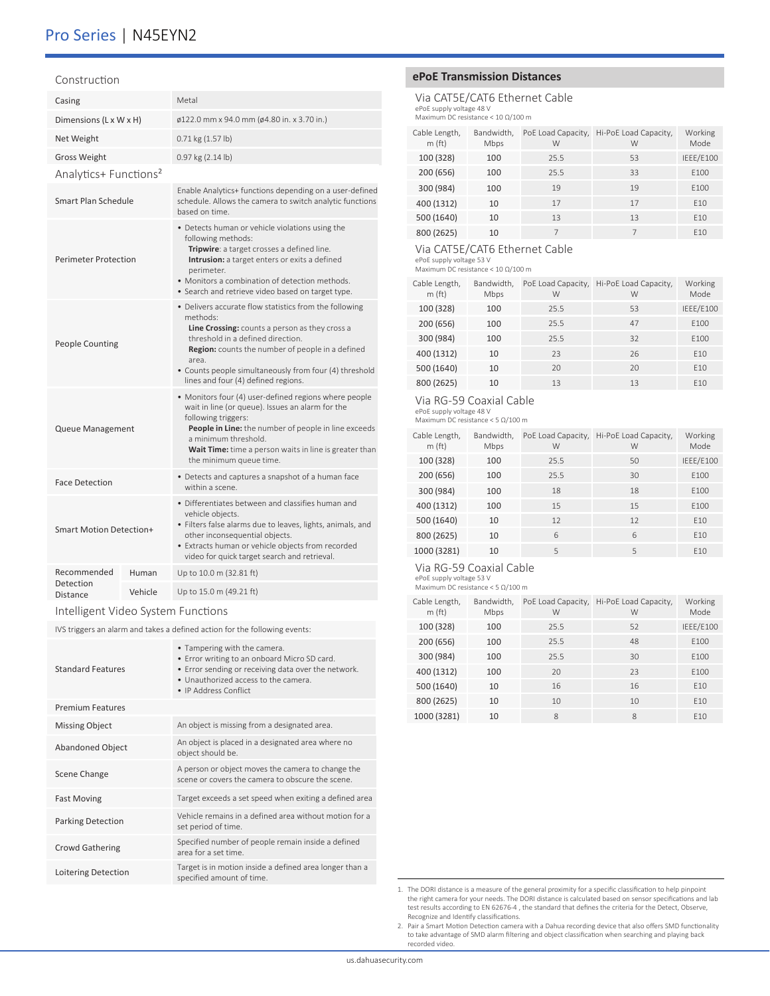### Construction

| Casing                                                                     |         | Metal                                                                                                                                                                                                                                                                                                                   |  |  |
|----------------------------------------------------------------------------|---------|-------------------------------------------------------------------------------------------------------------------------------------------------------------------------------------------------------------------------------------------------------------------------------------------------------------------------|--|--|
| Dimensions (L x W x H)                                                     |         | ø122.0 mm x 94.0 mm (ø4.80 in. x 3.70 in.)                                                                                                                                                                                                                                                                              |  |  |
| Net Weight                                                                 |         | 0.71 kg (1.57 lb)                                                                                                                                                                                                                                                                                                       |  |  |
| <b>Gross Weight</b>                                                        |         | 0.97 kg (2.14 lb)                                                                                                                                                                                                                                                                                                       |  |  |
| Analytics+ Functions <sup>2</sup>                                          |         |                                                                                                                                                                                                                                                                                                                         |  |  |
| Smart Plan Schedule                                                        |         | Enable Analytics+ functions depending on a user-defined<br>schedule. Allows the camera to switch analytic functions<br>based on time.                                                                                                                                                                                   |  |  |
| <b>Perimeter Protection</b>                                                |         | • Detects human or vehicle violations using the<br>following methods:<br>Tripwire: a target crosses a defined line.<br>Intrusion: a target enters or exits a defined<br>perimeter.<br>• Monitors a combination of detection methods.<br>· Search and retrieve video based on target type.                               |  |  |
| <b>People Counting</b>                                                     |         | • Delivers accurate flow statistics from the following<br>methods:<br>Line Crossing: counts a person as they cross a<br>threshold in a defined direction.<br>Region: counts the number of people in a defined<br>area.<br>• Counts people simultaneously from four (4) threshold<br>lines and four (4) defined regions. |  |  |
| Queue Management                                                           |         | • Monitors four (4) user-defined regions where people<br>wait in line (or queue). Issues an alarm for the<br>following triggers:<br>People in Line: the number of people in line exceeds<br>a minimum threshold.<br>Wait Time: time a person waits in line is greater than<br>the minimum queue time.                   |  |  |
| <b>Face Detection</b>                                                      |         | • Detects and captures a snapshot of a human face<br>within a scene.                                                                                                                                                                                                                                                    |  |  |
| Smart Motion Detection+                                                    |         | • Differentiates between and classifies human and<br>vehicle objects.<br>• Filters false alarms due to leaves, lights, animals, and<br>other inconsequential objects.<br>• Extracts human or vehicle objects from recorded<br>video for quick target search and retrieval.                                              |  |  |
| Recommended                                                                | Human   | Up to 10.0 m (32.81 ft)                                                                                                                                                                                                                                                                                                 |  |  |
| Detection<br><b>Distance</b>                                               | Vehicle | Up to 15.0 m (49.21 ft)                                                                                                                                                                                                                                                                                                 |  |  |
| Intelligent Video System Functions                                         |         |                                                                                                                                                                                                                                                                                                                         |  |  |
| IVS triggers an alarm and takes a defined action for the following events: |         |                                                                                                                                                                                                                                                                                                                         |  |  |
| <b>Standard Features</b>                                                   |         | • Tampering with the camera.<br>• Error writing to an onboard Micro SD card.<br>• Error sending or receiving data over the network.<br>• Unauthorized access to the camera.<br>• IP Address Conflict                                                                                                                    |  |  |
| <b>Premium Features</b>                                                    |         |                                                                                                                                                                                                                                                                                                                         |  |  |

| <b>Premium Features</b>  |                                                                                                       |
|--------------------------|-------------------------------------------------------------------------------------------------------|
| <b>Missing Object</b>    | An object is missing from a designated area.                                                          |
| <b>Abandoned Object</b>  | An object is placed in a designated area where no<br>object should be.                                |
| Scene Change             | A person or object moves the camera to change the<br>scene or covers the camera to obscure the scene. |
| <b>Fast Moving</b>       | Target exceeds a set speed when exiting a defined area                                                |
| <b>Parking Detection</b> | Vehicle remains in a defined area without motion for a<br>set period of time.                         |
| <b>Crowd Gathering</b>   | Specified number of people remain inside a defined<br>area for a set time.                            |
| Loitering Detection      | Target is in motion inside a defined area longer than a<br>specified amount of time.                  |

### **ePoE Transmission Distances**

Via CAT5E/CAT6 Ethernet Cable ePoE supply voltage 48 V Maximum DC resistance < 10 Ω/100 m

| Cable Length,<br>m(ft) | Bandwidth,<br>Mbps | PoE Load Capacity,<br>W | Hi-PoE Load Capacity,<br>W | Working<br>Mode |
|------------------------|--------------------|-------------------------|----------------------------|-----------------|
| 100 (328)              | 100                | 25.5                    | 53                         | IEEE/E100       |
| 200 (656)              | 100                | 25.5                    | 33                         | E100            |
| 300 (984)              | 100                | 19                      | 19                         | E100            |
| 400 (1312)             | 10                 | 17                      | 17                         | F <sub>10</sub> |
| 500 (1640)             | 10                 | 13                      | 13                         | E10             |
| 800 (2625)             | 10                 |                         |                            | F <sub>10</sub> |

### Via CAT5E/CAT6 Ethernet Cable

ePoE supply voltage 53 V Maximum DC resistance < 10 Ω/100 m

| Cable Length,<br>m(ft) | Bandwidth,<br>Mbps | PoE Load Capacity,<br>W | Hi-PoE Load Capacity,<br>W | Working<br>Mode |
|------------------------|--------------------|-------------------------|----------------------------|-----------------|
| 100 (328)              | 100                | 25.5                    | 53                         | IEEE/E100       |
| 200 (656)              | 100                | 25.5                    | 47                         | E100            |
| 300 (984)              | 100                | 25.5                    | 32                         | E100            |
| 400 (1312)             | 10                 | 23                      | 26                         | F <sub>10</sub> |
| 500 (1640)             | 10                 | 20                      | 20                         | F <sub>10</sub> |
| 800 (2625)             | 10                 | 13                      | 13                         | F <sub>10</sub> |

### Via RG-59 Coaxial Cable

ePoE supply voltage 48 V Maximum DC resistance < 5 Ω/100 m

| Cable Length,<br>m(ft) | Bandwidth,<br>Mbps | PoE Load Capacity,<br>W | Hi-PoE Load Capacity,<br>W | Working<br>Mode  |
|------------------------|--------------------|-------------------------|----------------------------|------------------|
| 100 (328)              | 100                | 25.5                    | 50                         | IEEE/E100        |
| 200 (656)              | 100                | 25.5                    | 30                         | E100             |
| 300 (984)              | 100                | 18                      | 18                         | F <sub>100</sub> |
| 400 (1312)             | 100                | 15                      | 15                         | F100             |
| 500 (1640)             | 10                 | 12                      | 12                         | F <sub>10</sub>  |
| 800 (2625)             | 10                 | 6                       | 6                          | F <sub>10</sub>  |
| 1000 (3281)            | 10                 | 5                       | 5                          | F <sub>10</sub>  |

### Via RG-59 Coaxial Cable

ePoE supply voltage 53 V Maximum DC resistance < 5 Ω/100 m

| Cable Length,<br>m(ft) | Bandwidth,<br>Mbps | PoE Load Capacity,<br>W | Hi-PoE Load Capacity,<br>W | Working<br>Mode  |
|------------------------|--------------------|-------------------------|----------------------------|------------------|
| 100 (328)              | 100                | 25.5                    | 52                         | IEEE/E100        |
| 200 (656)              | 100                | 25.5                    | 48                         | F <sub>100</sub> |
| 300 (984)              | 100                | 25.5                    | 30                         | F <sub>100</sub> |
| 400 (1312)             | 100                | 20                      | 23                         | F100             |
| 500 (1640)             | 10                 | 16                      | 16                         | F <sub>10</sub>  |
| 800 (2625)             | 10                 | 10                      | 10                         | F <sub>10</sub>  |
| 1000 (3281)            | 10                 | 8                       | 8                          | F <sub>10</sub>  |

1. The DORI distance is a measure of the general proximity for a specific classification to help pinpoint the right camera for your needs. The DORI distance is calculated based on sensor specifications and lab<br>test results according to EN 62676-4 , the standard that defines the criteria for the Detect, Observe,<br>Recognize and I

2. Pair a Smart Motion Detection camera with a Dahua recording device that also offers SMD functionality to take advantage of SMD alarm filtering and object classification when searching and playing back recorded video.